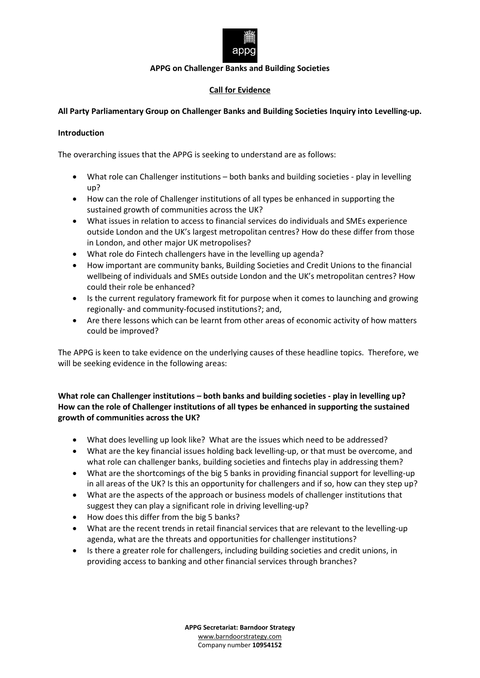

### **APPG on Challenger Banks and Building Societies**

# **Call for Evidence**

# **All Party Parliamentary Group on Challenger Banks and Building Societies Inquiry into Levelling-up.**

### **Introduction**

The overarching issues that the APPG is seeking to understand are as follows:

- What role can Challenger institutions both banks and building societies play in levelling up?
- How can the role of Challenger institutions of all types be enhanced in supporting the sustained growth of communities across the UK?
- What issues in relation to access to financial services do individuals and SMEs experience outside London and the UK's largest metropolitan centres? How do these differ from those in London, and other major UK metropolises?
- What role do Fintech challengers have in the levelling up agenda?
- How important are community banks, Building Societies and Credit Unions to the financial wellbeing of individuals and SMEs outside London and the UK's metropolitan centres? How could their role be enhanced?
- Is the current regulatory framework fit for purpose when it comes to launching and growing regionally- and community-focused institutions?; and,
- Are there lessons which can be learnt from other areas of economic activity of how matters could be improved?

The APPG is keen to take evidence on the underlying causes of these headline topics. Therefore, we will be seeking evidence in the following areas:

# **What role can Challenger institutions – both banks and building societies - play in levelling up? How can the role of Challenger institutions of all types be enhanced in supporting the sustained growth of communities across the UK?**

- What does levelling up look like? What are the issues which need to be addressed?
- What are the key financial issues holding back levelling-up, or that must be overcome, and what role can challenger banks, building societies and fintechs play in addressing them?
- What are the shortcomings of the big 5 banks in providing financial support for levelling-up in all areas of the UK? Is this an opportunity for challengers and if so, how can they step up?
- What are the aspects of the approach or business models of challenger institutions that suggest they can play a significant role in driving levelling-up?
- How does this differ from the big 5 banks?
- What are the recent trends in retail financial services that are relevant to the levelling-up agenda, what are the threats and opportunities for challenger institutions?
- Is there a greater role for challengers, including building societies and credit unions, in providing access to banking and other financial services through branches?

**APPG Secretariat: Barndoor Strategy** [www.barndoorstrategy.com](http://www.barndoorstrategy.com/) Company number **10954152**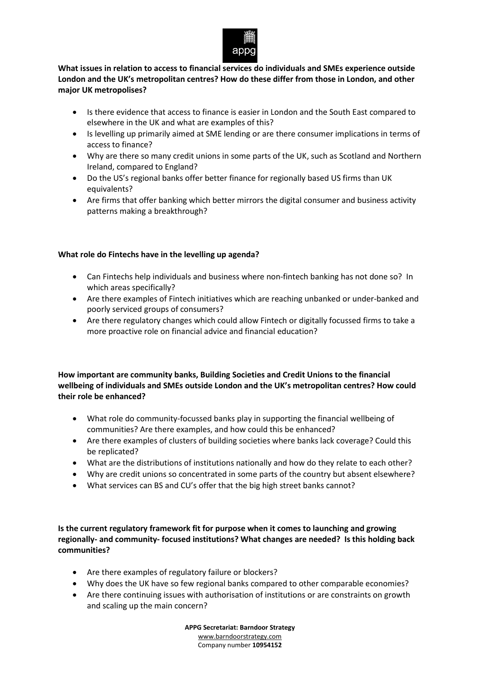

**What issues in relation to access to financial services do individuals and SMEs experience outside London and the UK's metropolitan centres? How do these differ from those in London, and other major UK metropolises?**

- Is there evidence that access to finance is easier in London and the South East compared to elsewhere in the UK and what are examples of this?
- Is levelling up primarily aimed at SME lending or are there consumer implications in terms of access to finance?
- Why are there so many credit unions in some parts of the UK, such as Scotland and Northern Ireland, compared to England?
- Do the US's regional banks offer better finance for regionally based US firms than UK equivalents?
- Are firms that offer banking which better mirrors the digital consumer and business activity patterns making a breakthrough?

### **What role do Fintechs have in the levelling up agenda?**

- Can Fintechs help individuals and business where non-fintech banking has not done so? In which areas specifically?
- Are there examples of Fintech initiatives which are reaching unbanked or under-banked and poorly serviced groups of consumers?
- Are there regulatory changes which could allow Fintech or digitally focussed firms to take a more proactive role on financial advice and financial education?

## **How important are community banks, Building Societies and Credit Unions to the financial wellbeing of individuals and SMEs outside London and the UK's metropolitan centres? How could their role be enhanced?**

- What role do community-focussed banks play in supporting the financial wellbeing of communities? Are there examples, and how could this be enhanced?
- Are there examples of clusters of building societies where banks lack coverage? Could this be replicated?
- What are the distributions of institutions nationally and how do they relate to each other?
- Why are credit unions so concentrated in some parts of the country but absent elsewhere?
- What services can BS and CU's offer that the big high street banks cannot?

**Is the current regulatory framework fit for purpose when it comes to launching and growing regionally- and community- focused institutions? What changes are needed? Is this holding back communities?**

- Are there examples of regulatory failure or blockers?
- Why does the UK have so few regional banks compared to other comparable economies?
- Are there continuing issues with authorisation of institutions or are constraints on growth and scaling up the main concern?

**APPG Secretariat: Barndoor Strategy** [www.barndoorstrategy.com](http://www.barndoorstrategy.com/) Company number **10954152**